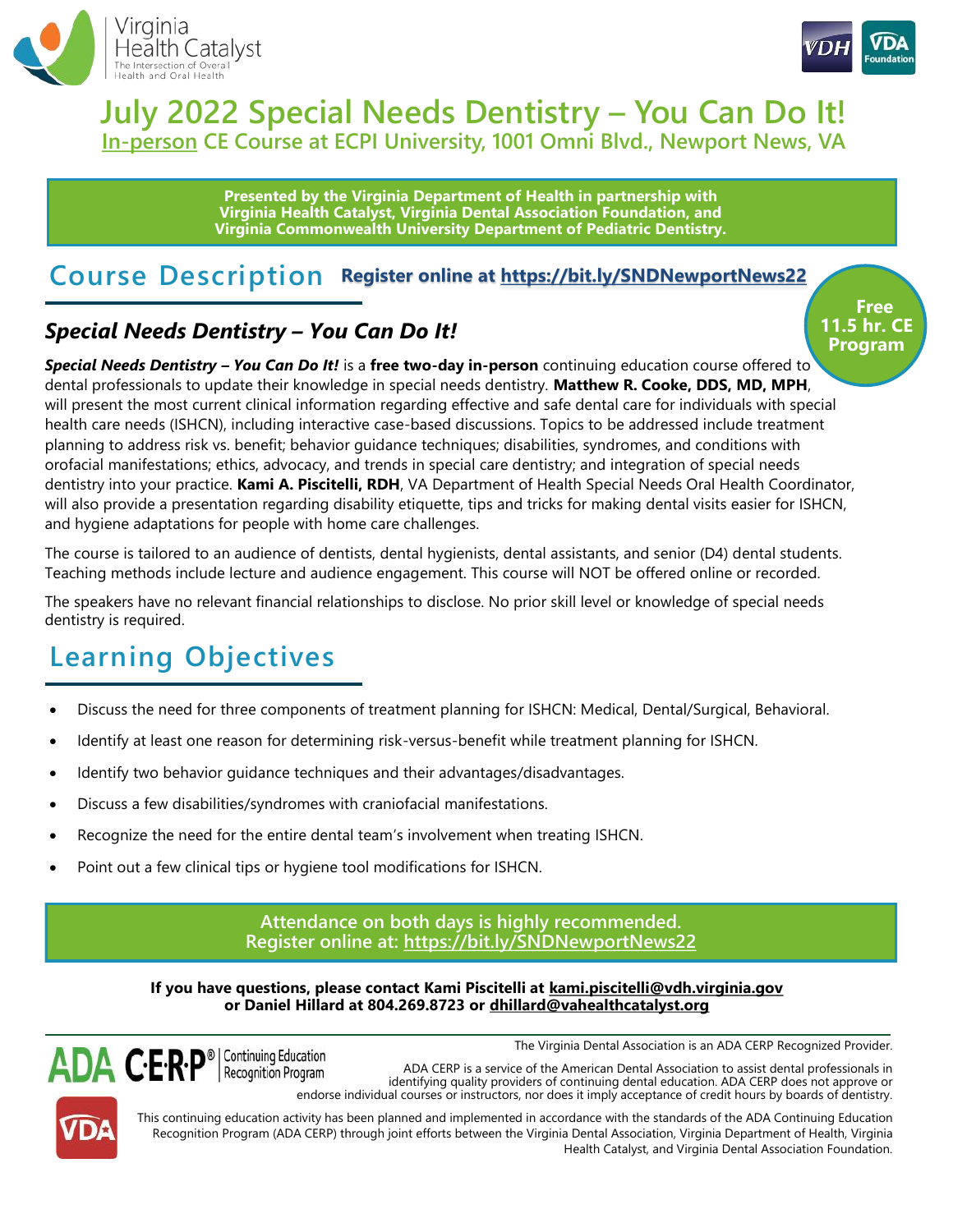



## **July 2022 Special Needs Dentistry – You Can Do It! In-person CE Course at ECPI University, 1001 Omni Blvd., Newport News, VA**

**Presented by the Virginia Department of Health in partnership with Virginia Health Catalyst, Virginia Dental Association Foundation, and Virginia Commonwealth University Department of Pediatric Dentistry.**

## **Course Description Register online at <https://bit.ly/SNDNewportNews22>**

### *Special Needs Dentistry – You Can Do It!*

*Special Needs Dentistry – You Can Do It!* is a **free two-day in-person** continuing education course offered to dental professionals to update their knowledge in special needs dentistry. **Matthew R. Cooke, DDS, MD, MPH**, will present the most current clinical information regarding effective and safe dental care for individuals with special health care needs (ISHCN), including interactive case-based discussions. Topics to be addressed include treatment planning to address risk vs. benefit; behavior guidance techniques; disabilities, syndromes, and conditions with orofacial manifestations; ethics, advocacy, and trends in special care dentistry; and integration of special needs dentistry into your practice. **Kami A. Piscitelli, RDH**, VA Department of Health Special Needs Oral Health Coordinator, will also provide a presentation regarding disability etiquette, tips and tricks for making dental visits easier for ISHCN, and hygiene adaptations for people with home care challenges.

The course is tailored to an audience of dentists, dental hygienists, dental assistants, and senior (D4) dental students. Teaching methods include lecture and audience engagement. This course will NOT be offered online or recorded.

The speakers have no relevant financial relationships to disclose. No prior skill level or knowledge of special needs dentistry is required.

# **Learning Objectives**

- Discuss the need for three components of treatment planning for ISHCN: Medical, Dental/Surgical, Behavioral.
- Identify at least one reason for determining risk-versus-benefit while treatment planning for ISHCN.
- Identify two behavior guidance techniques and their advantages/disadvantages.
- Discuss a few disabilities/syndromes with craniofacial manifestations.
- Recognize the need for the entire dental team's involvement when treating ISHCN.
- Point out a few clinical tips or hygiene tool modifications for ISHCN.

#### **Attendance on both days is highly recommended. Register online at:<https://bit.ly/SNDNewportNews22>**

**If you have questions, please contact Kami Piscitelli at kami.piscitelli@vdh.virginia.gov or Daniel Hillard at 804.269.8723 or dhillard@vahealthcatalyst.org**



The Virginia Dental Association is an ADA CERP Recognized Provider.

ADA CERP is a service of the American Dental Association to assist dental professionals in identifying quality providers of continuing dental education. ADA CERP does not approve or endorse individual courses or instructors, nor does it imply acceptance of credit hours by boards of dentistry.

This continuing education activity has been planned and implemented in accordance with the standards of the ADA Continuing Education Recognition Program (ADA CERP) through joint efforts between the Virginia Dental Association, Virginia Department of Health, Virginia Health Catalyst, and Virginia Dental Association Foundation.

**Free 11.5 hr. CE Program**